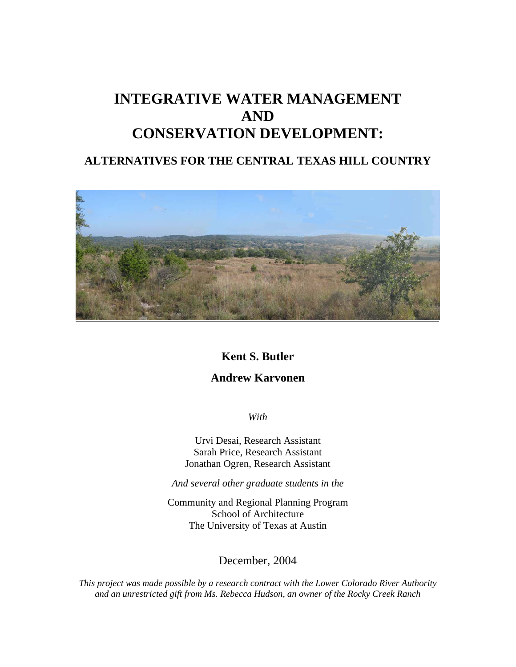# **INTEGRATIVE WATER MANAGEMENT AND CONSERVATION DEVELOPMENT:**

# **ALTERNATIVES FOR THE CENTRAL TEXAS HILL COUNTRY**



# **Kent S. Butler**

# **Andrew Karvonen**

*With* 

Urvi Desai, Research Assistant Sarah Price, Research Assistant Jonathan Ogren, Research Assistant

*And several other graduate students in the* 

Community and Regional Planning Program School of Architecture The University of Texas at Austin

### December, 2004

*This project was made possible by a research contract with the Lower Colorado River Authority and an unrestricted gift from Ms. Rebecca Hudson, an owner of the Rocky Creek Ranch*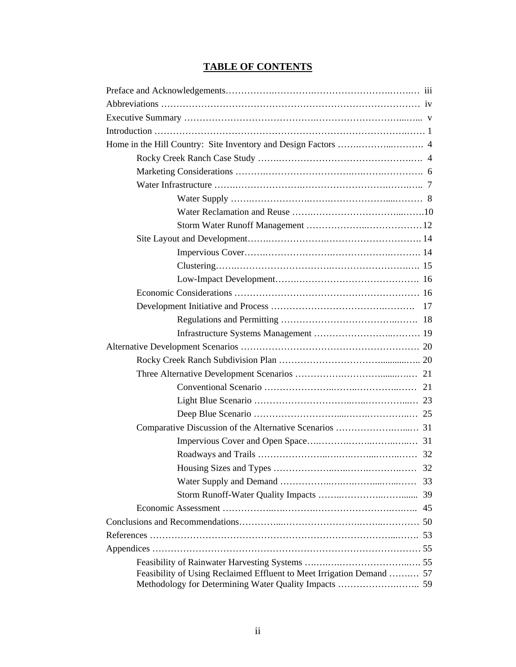# **TABLE OF CONTENTS**

|                                                                       | 33 |  |  |  |
|-----------------------------------------------------------------------|----|--|--|--|
|                                                                       |    |  |  |  |
|                                                                       |    |  |  |  |
|                                                                       |    |  |  |  |
|                                                                       |    |  |  |  |
|                                                                       |    |  |  |  |
|                                                                       |    |  |  |  |
| Feasibility of Using Reclaimed Effluent to Meet Irrigation Demand  57 |    |  |  |  |
| Methodology for Determining Water Quality Impacts  59                 |    |  |  |  |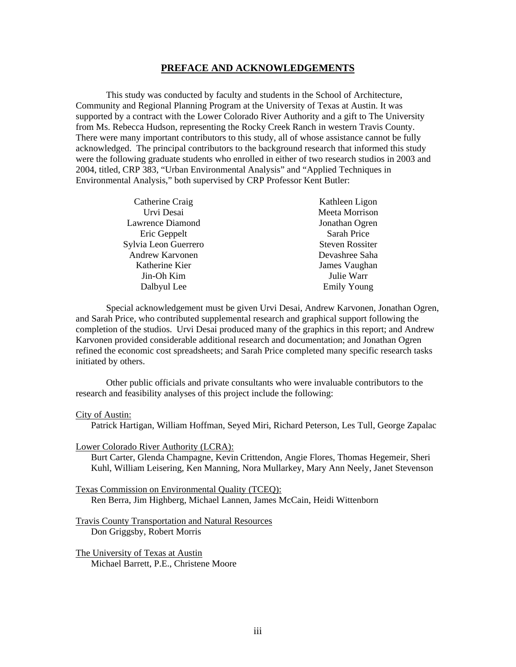#### **PREFACE AND ACKNOWLEDGEMENTS**

This study was conducted by faculty and students in the School of Architecture, Community and Regional Planning Program at the University of Texas at Austin. It was supported by a contract with the Lower Colorado River Authority and a gift to The University from Ms. Rebecca Hudson, representing the Rocky Creek Ranch in western Travis County. There were many important contributors to this study, all of whose assistance cannot be fully acknowledged. The principal contributors to the background research that informed this study were the following graduate students who enrolled in either of two research studios in 2003 and 2004, titled, CRP 383, "Urban Environmental Analysis" and "Applied Techniques in Environmental Analysis," both supervised by CRP Professor Kent Butler:

| Catherine Craig        | Kathleen Ligon         |
|------------------------|------------------------|
| Urvi Desai             | Meeta Morrison         |
| Lawrence Diamond       | Jonathan Ogren         |
| Eric Geppelt           | Sarah Price            |
| Sylvia Leon Guerrero   | <b>Steven Rossiter</b> |
| <b>Andrew Karvonen</b> | Devashree Saha         |
| Katherine Kier         | James Vaughan          |
| Jin-Oh Kim             | Julie Warr             |
| Dalbyul Lee            | <b>Emily Young</b>     |
|                        |                        |

Special acknowledgement must be given Urvi Desai, Andrew Karvonen, Jonathan Ogren, and Sarah Price, who contributed supplemental research and graphical support following the completion of the studios. Urvi Desai produced many of the graphics in this report; and Andrew Karvonen provided considerable additional research and documentation; and Jonathan Ogren refined the economic cost spreadsheets; and Sarah Price completed many specific research tasks initiated by others.

Other public officials and private consultants who were invaluable contributors to the research and feasibility analyses of this project include the following:

#### City of Austin:

Patrick Hartigan, William Hoffman, Seyed Miri, Richard Peterson, Les Tull, George Zapalac

Lower Colorado River Authority (LCRA):

Burt Carter, Glenda Champagne, Kevin Crittendon, Angie Flores, Thomas Hegemeir, Sheri Kuhl, William Leisering, Ken Manning, Nora Mullarkey, Mary Ann Neely, Janet Stevenson

Texas Commission on Environmental Quality (TCEQ): Ren Berra, Jim Highberg, Michael Lannen, James McCain, Heidi Wittenborn

Travis County Transportation and Natural Resources Don Griggsby, Robert Morris

The University of Texas at Austin Michael Barrett, P.E., Christene Moore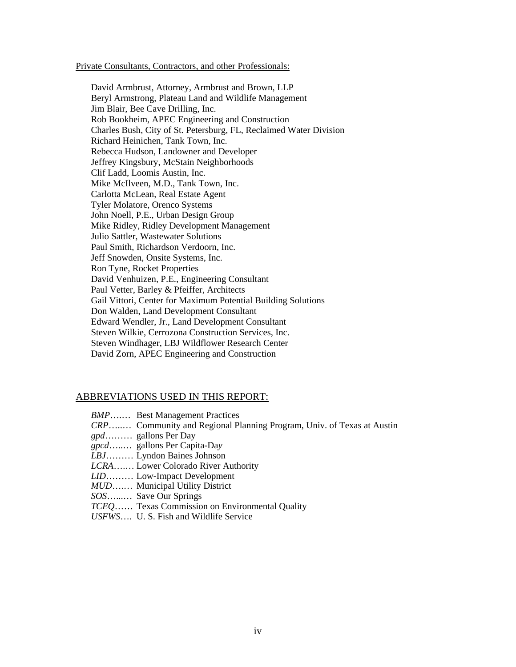Private Consultants, Contractors, and other Professionals:

David Armbrust, Attorney, Armbrust and Brown, LLP Beryl Armstrong, Plateau Land and Wildlife Management Jim Blair, Bee Cave Drilling, Inc. Rob Bookheim, APEC Engineering and Construction Charles Bush, City of St. Petersburg, FL, Reclaimed Water Division Richard Heinichen, Tank Town, Inc. Rebecca Hudson, Landowner and Developer Jeffrey Kingsbury, McStain Neighborhoods Clif Ladd, Loomis Austin, Inc. Mike McIlveen, M.D., Tank Town, Inc. Carlotta McLean, Real Estate Agent Tyler Molatore, Orenco Systems John Noell, P.E., Urban Design Group Mike Ridley, Ridley Development Management Julio Sattler, Wastewater Solutions Paul Smith, Richardson Verdoorn, Inc. Jeff Snowden, Onsite Systems, Inc. Ron Tyne, Rocket Properties David Venhuizen, P.E., Engineering Consultant Paul Vetter, Barley & Pfeiffer, Architects Gail Vittori, Center for Maximum Potential Building Solutions Don Walden, Land Development Consultant Edward Wendler, Jr., Land Development Consultant Steven Wilkie, Cerrozona Construction Services, Inc. Steven Windhager, LBJ Wildflower Research Center David Zorn, APEC Engineering and Construction

#### ABBREVIATIONS USED IN THIS REPORT:

- *BMP*….… Best Management Practices
- *CRP*…..… Community and Regional Planning Program, Univ. of Texas at Austin
- *gpd*……… gallons Per Day
- *gpcd*…..… gallons Per Capita-Da*y*
- *LBJ*……… Lyndon Baines Johnson
- *LCRA*….… Lower Colorado River Authority

 *LID*……… Low-Impact Development

 *MUD*….… Municipal Utility District

- *SOS*…...… Save Our Springs
- *TCEQ*…… Texas Commission on Environmental Quality
- *USFWS*…. U. S. Fish and Wildlife Service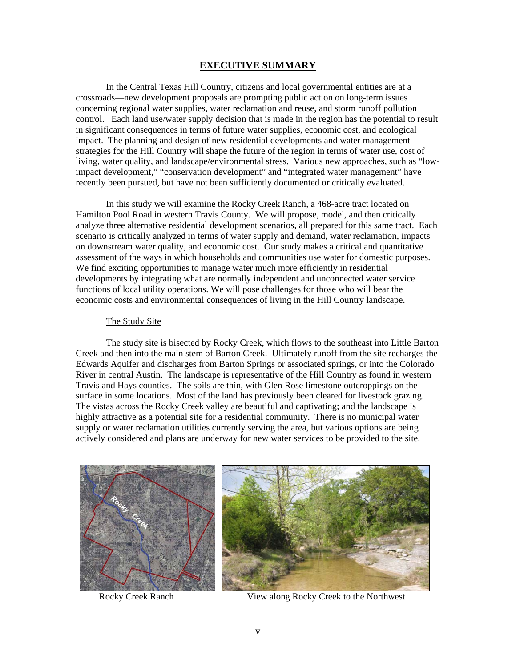#### **EXECUTIVE SUMMARY**

In the Central Texas Hill Country, citizens and local governmental entities are at a crossroads—new development proposals are prompting public action on long-term issues concerning regional water supplies, water reclamation and reuse, and storm runoff pollution control. Each land use/water supply decision that is made in the region has the potential to result in significant consequences in terms of future water supplies, economic cost, and ecological impact. The planning and design of new residential developments and water management strategies for the Hill Country will shape the future of the region in terms of water use, cost of living, water quality, and landscape/environmental stress. Various new approaches, such as "lowimpact development," "conservation development" and "integrated water management" have recently been pursued, but have not been sufficiently documented or critically evaluated.

In this study we will examine the Rocky Creek Ranch, a 468-acre tract located on Hamilton Pool Road in western Travis County. We will propose, model, and then critically analyze three alternative residential development scenarios, all prepared for this same tract. Each scenario is critically analyzed in terms of water supply and demand, water reclamation, impacts on downstream water quality, and economic cost. Our study makes a critical and quantitative assessment of the ways in which households and communities use water for domestic purposes. We find exciting opportunities to manage water much more efficiently in residential developments by integrating what are normally independent and unconnected water service functions of local utility operations. We will pose challenges for those who will bear the economic costs and environmental consequences of living in the Hill Country landscape.

#### The Study Site

The study site is bisected by Rocky Creek, which flows to the southeast into Little Barton Creek and then into the main stem of Barton Creek. Ultimately runoff from the site recharges the Edwards Aquifer and discharges from Barton Springs or associated springs, or into the Colorado River in central Austin. The landscape is representative of the Hill Country as found in western Travis and Hays counties. The soils are thin, with Glen Rose limestone outcroppings on the surface in some locations. Most of the land has previously been cleared for livestock grazing. The vistas across the Rocky Creek valley are beautiful and captivating; and the landscape is highly attractive as a potential site for a residential community. There is no municipal water supply or water reclamation utilities currently serving the area, but various options are being actively considered and plans are underway for new water services to be provided to the site.



Rocky Creek Ranch View along Rocky Creek to the Northwest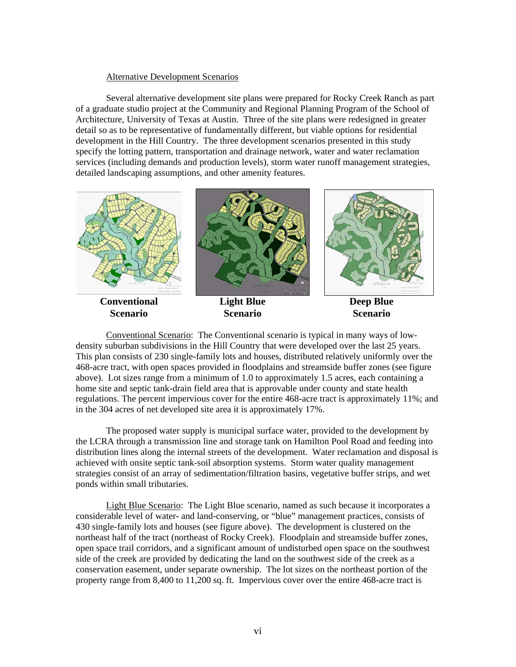#### Alternative Development Scenarios

Several alternative development site plans were prepared for Rocky Creek Ranch as part of a graduate studio project at the Community and Regional Planning Program of the School of Architecture, University of Texas at Austin. Three of the site plans were redesigned in greater detail so as to be representative of fundamentally different, but viable options for residential development in the Hill Country. The three development scenarios presented in this study specify the lotting pattern, transportation and drainage network, water and water reclamation services (including demands and production levels), storm water runoff management strategies, detailed landscaping assumptions, and other amenity features.



 **Scenario Scenario Scenario** 



Conventional Scenario: The Conventional scenario is typical in many ways of lowdensity suburban subdivisions in the Hill Country that were developed over the last 25 years. This plan consists of 230 single-family lots and houses, distributed relatively uniformly over the 468-acre tract, with open spaces provided in floodplains and streamside buffer zones (see figure above). Lot sizes range from a minimum of 1.0 to approximately 1.5 acres, each containing a home site and septic tank-drain field area that is approvable under county and state health regulations. The percent impervious cover for the entire 468-acre tract is approximately 11%; and in the 304 acres of net developed site area it is approximately 17%.

The proposed water supply is municipal surface water, provided to the development by the LCRA through a transmission line and storage tank on Hamilton Pool Road and feeding into distribution lines along the internal streets of the development. Water reclamation and disposal is achieved with onsite septic tank-soil absorption systems. Storm water quality management strategies consist of an array of sedimentation/filtration basins, vegetative buffer strips, and wet ponds within small tributaries.

Light Blue Scenario: The Light Blue scenario, named as such because it incorporates a considerable level of water- and land-conserving, or "blue" management practices, consists of 430 single-family lots and houses (see figure above). The development is clustered on the northeast half of the tract (northeast of Rocky Creek). Floodplain and streamside buffer zones, open space trail corridors, and a significant amount of undisturbed open space on the southwest side of the creek are provided by dedicating the land on the southwest side of the creek as a conservation easement, under separate ownership. The lot sizes on the northeast portion of the property range from 8,400 to 11,200 sq. ft. Impervious cover over the entire 468-acre tract is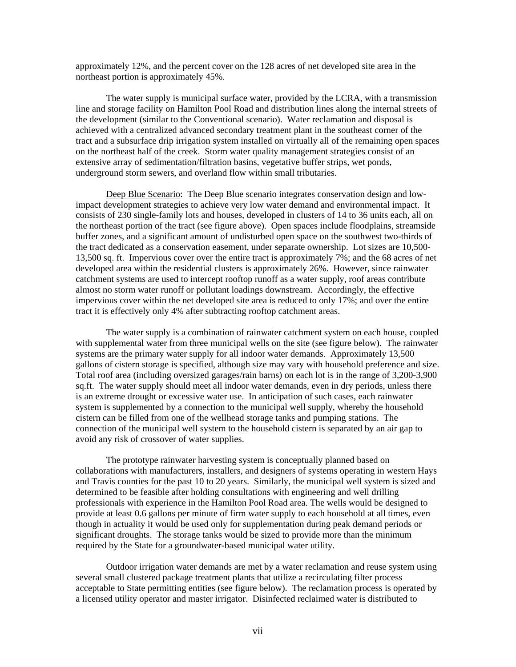approximately 12%, and the percent cover on the 128 acres of net developed site area in the northeast portion is approximately 45%.

The water supply is municipal surface water, provided by the LCRA, with a transmission line and storage facility on Hamilton Pool Road and distribution lines along the internal streets of the development (similar to the Conventional scenario). Water reclamation and disposal is achieved with a centralized advanced secondary treatment plant in the southeast corner of the tract and a subsurface drip irrigation system installed on virtually all of the remaining open spaces on the northeast half of the creek. Storm water quality management strategies consist of an extensive array of sedimentation/filtration basins, vegetative buffer strips, wet ponds, underground storm sewers, and overland flow within small tributaries.

Deep Blue Scenario: The Deep Blue scenario integrates conservation design and lowimpact development strategies to achieve very low water demand and environmental impact. It consists of 230 single-family lots and houses, developed in clusters of 14 to 36 units each, all on the northeast portion of the tract (see figure above). Open spaces include floodplains, streamside buffer zones, and a significant amount of undisturbed open space on the southwest two-thirds of the tract dedicated as a conservation easement, under separate ownership. Lot sizes are 10,500- 13,500 sq. ft. Impervious cover over the entire tract is approximately 7%; and the 68 acres of net developed area within the residential clusters is approximately 26%. However, since rainwater catchment systems are used to intercept rooftop runoff as a water supply, roof areas contribute almost no storm water runoff or pollutant loadings downstream. Accordingly, the effective impervious cover within the net developed site area is reduced to only 17%; and over the entire tract it is effectively only 4% after subtracting rooftop catchment areas.

The water supply is a combination of rainwater catchment system on each house, coupled with supplemental water from three municipal wells on the site (see figure below). The rainwater systems are the primary water supply for all indoor water demands. Approximately 13,500 gallons of cistern storage is specified, although size may vary with household preference and size. Total roof area (including oversized garages/rain barns) on each lot is in the range of 3,200-3,900 sq.ft. The water supply should meet all indoor water demands, even in dry periods, unless there is an extreme drought or excessive water use. In anticipation of such cases, each rainwater system is supplemented by a connection to the municipal well supply, whereby the household cistern can be filled from one of the wellhead storage tanks and pumping stations. The connection of the municipal well system to the household cistern is separated by an air gap to avoid any risk of crossover of water supplies.

The prototype rainwater harvesting system is conceptually planned based on collaborations with manufacturers, installers, and designers of systems operating in western Hays and Travis counties for the past 10 to 20 years. Similarly, the municipal well system is sized and determined to be feasible after holding consultations with engineering and well drilling professionals with experience in the Hamilton Pool Road area. The wells would be designed to provide at least 0.6 gallons per minute of firm water supply to each household at all times, even though in actuality it would be used only for supplementation during peak demand periods or significant droughts. The storage tanks would be sized to provide more than the minimum required by the State for a groundwater-based municipal water utility.

Outdoor irrigation water demands are met by a water reclamation and reuse system using several small clustered package treatment plants that utilize a recirculating filter process acceptable to State permitting entities (see figure below). The reclamation process is operated by a licensed utility operator and master irrigator. Disinfected reclaimed water is distributed to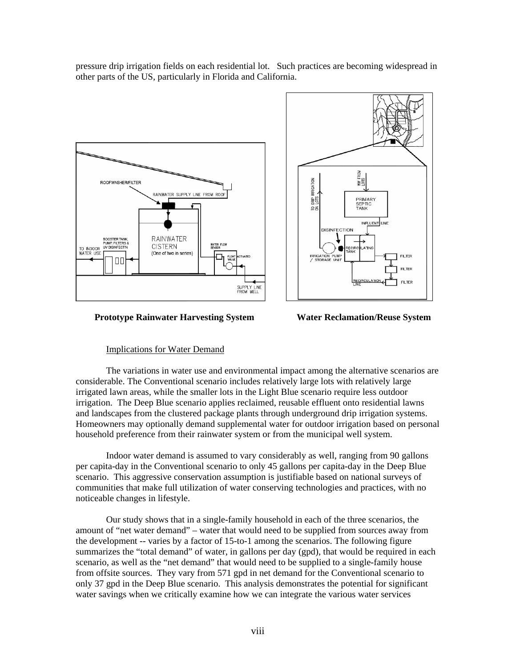pressure drip irrigation fields on each residential lot. Such practices are becoming widespread in other parts of the US, particularly in Florida and California.





**Prototype Rainwater Harvesting System Water Reclamation/Reuse System** 

#### Implications for Water Demand

The variations in water use and environmental impact among the alternative scenarios are considerable. The Conventional scenario includes relatively large lots with relatively large irrigated lawn areas, while the smaller lots in the Light Blue scenario require less outdoor irrigation. The Deep Blue scenario applies reclaimed, reusable effluent onto residential lawns and landscapes from the clustered package plants through underground drip irrigation systems. Homeowners may optionally demand supplemental water for outdoor irrigation based on personal household preference from their rainwater system or from the municipal well system.

Indoor water demand is assumed to vary considerably as well, ranging from 90 gallons per capita-day in the Conventional scenario to only 45 gallons per capita-day in the Deep Blue scenario. This aggressive conservation assumption is justifiable based on national surveys of communities that make full utilization of water conserving technologies and practices, with no noticeable changes in lifestyle.

Our study shows that in a single-family household in each of the three scenarios, the amount of "net water demand" – water that would need to be supplied from sources away from the development -- varies by a factor of 15-to-1 among the scenarios. The following figure summarizes the "total demand" of water, in gallons per day (gpd), that would be required in each scenario, as well as the "net demand" that would need to be supplied to a single-family house from offsite sources. They vary from 571 gpd in net demand for the Conventional scenario to only 37 gpd in the Deep Blue scenario. This analysis demonstrates the potential for significant water savings when we critically examine how we can integrate the various water services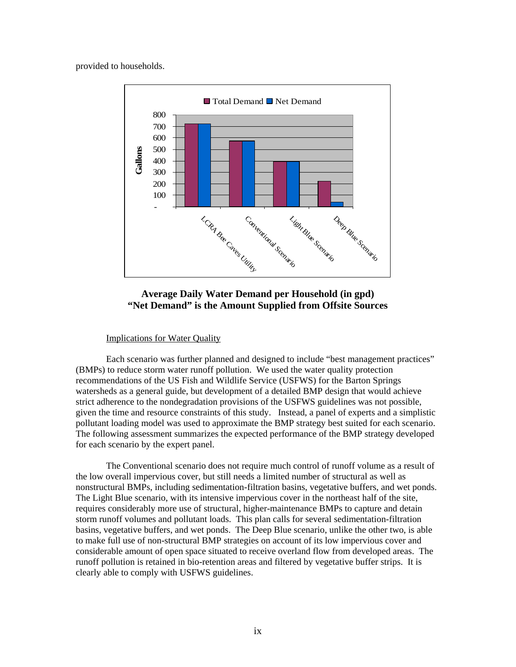provided to households.





#### Implications for Water Quality

Each scenario was further planned and designed to include "best management practices" (BMPs) to reduce storm water runoff pollution. We used the water quality protection recommendations of the US Fish and Wildlife Service (USFWS) for the Barton Springs watersheds as a general guide, but development of a detailed BMP design that would achieve strict adherence to the nondegradation provisions of the USFWS guidelines was not possible, given the time and resource constraints of this study. Instead, a panel of experts and a simplistic pollutant loading model was used to approximate the BMP strategy best suited for each scenario. The following assessment summarizes the expected performance of the BMP strategy developed for each scenario by the expert panel.

The Conventional scenario does not require much control of runoff volume as a result of the low overall impervious cover, but still needs a limited number of structural as well as nonstructural BMPs, including sedimentation-filtration basins, vegetative buffers, and wet ponds. The Light Blue scenario, with its intensive impervious cover in the northeast half of the site, requires considerably more use of structural, higher-maintenance BMPs to capture and detain storm runoff volumes and pollutant loads. This plan calls for several sedimentation-filtration basins, vegetative buffers, and wet ponds. The Deep Blue scenario, unlike the other two, is able to make full use of non-structural BMP strategies on account of its low impervious cover and considerable amount of open space situated to receive overland flow from developed areas. The runoff pollution is retained in bio-retention areas and filtered by vegetative buffer strips. It is clearly able to comply with USFWS guidelines.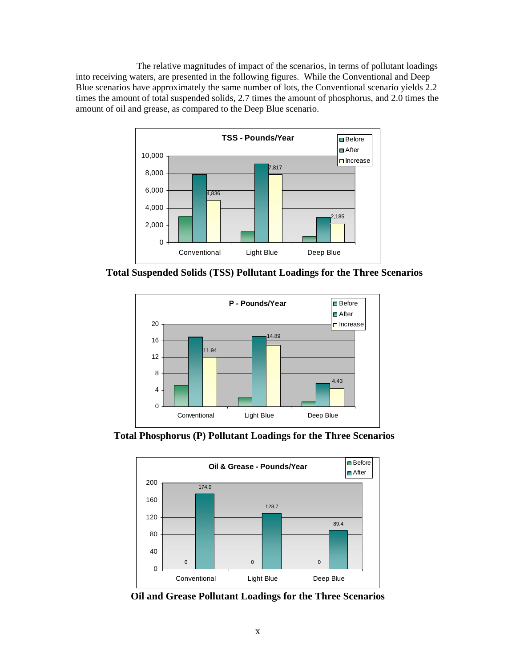The relative magnitudes of impact of the scenarios, in terms of pollutant loadings into receiving waters, are presented in the following figures. While the Conventional and Deep Blue scenarios have approximately the same number of lots, the Conventional scenario yields 2.2 times the amount of total suspended solids, 2.7 times the amount of phosphorus, and 2.0 times the amount of oil and grease, as compared to the Deep Blue scenario.



**Total Suspended Solids (TSS) Pollutant Loadings for the Three Scenarios** 



 **Total Phosphorus (P) Pollutant Loadings for the Three Scenarios** 



**Oil and Grease Pollutant Loadings for the Three Scenarios**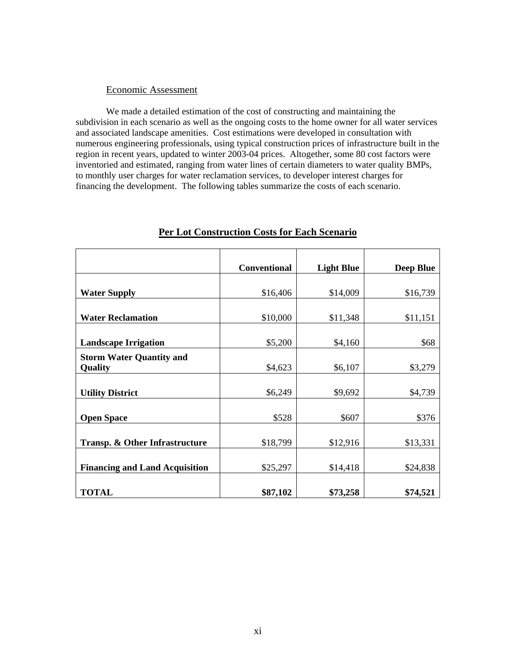#### Economic Assessment

We made a detailed estimation of the cost of constructing and maintaining the subdivision in each scenario as well as the ongoing costs to the home owner for all water services and associated landscape amenities. Cost estimations were developed in consultation with numerous engineering professionals, using typical construction prices of infrastructure built in the region in recent years, updated to winter 2003-04 prices. Altogether, some 80 cost factors were inventoried and estimated, ranging from water lines of certain diameters to water quality BMPs, to monthly user charges for water reclamation services, to developer interest charges for financing the development. The following tables summarize the costs of each scenario.

|                                       | <b>Conventional</b> | <b>Light Blue</b> | <b>Deep Blue</b> |
|---------------------------------------|---------------------|-------------------|------------------|
|                                       |                     |                   |                  |
| <b>Water Supply</b>                   | \$16,406            | \$14,009          | \$16,739         |
|                                       |                     |                   |                  |
| <b>Water Reclamation</b>              | \$10,000            | \$11,348          | \$11,151         |
|                                       |                     |                   |                  |
| <b>Landscape Irrigation</b>           | \$5,200             | \$4,160           | \$68             |
| <b>Storm Water Quantity and</b>       |                     |                   |                  |
| <b>Quality</b>                        | \$4,623             | \$6,107           | \$3,279          |
|                                       |                     |                   |                  |
| <b>Utility District</b>               | \$6,249             | \$9,692           | \$4,739          |
|                                       |                     |                   |                  |
| <b>Open Space</b>                     | \$528               | \$607             | \$376            |
|                                       |                     |                   |                  |
| Transp. & Other Infrastructure        | \$18,799            | \$12,916          | \$13,331         |
|                                       |                     |                   |                  |
| <b>Financing and Land Acquisition</b> | \$25,297            | \$14,418          | \$24,838         |
|                                       |                     |                   |                  |
| <b>TOTAL</b>                          | \$87,102            | \$73,258          | \$74,521         |

#### **Per Lot Construction Costs for Each Scenario**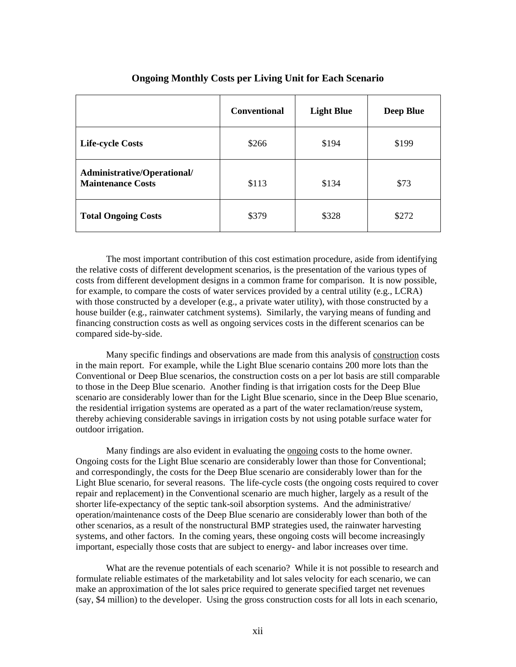|                                                         | <b>Conventional</b> | <b>Light Blue</b> | <b>Deep Blue</b> |
|---------------------------------------------------------|---------------------|-------------------|------------------|
| <b>Life-cycle Costs</b>                                 | \$266               | \$194             | \$199            |
| Administrative/Operational/<br><b>Maintenance Costs</b> | \$113               | \$134             | \$73             |
| <b>Total Ongoing Costs</b>                              | \$379               | \$328             | \$272            |

#### **Ongoing Monthly Costs per Living Unit for Each Scenario**

The most important contribution of this cost estimation procedure, aside from identifying the relative costs of different development scenarios, is the presentation of the various types of costs from different development designs in a common frame for comparison. It is now possible, for example, to compare the costs of water services provided by a central utility (e.g., LCRA) with those constructed by a developer (e.g., a private water utility), with those constructed by a house builder (e.g., rainwater catchment systems). Similarly, the varying means of funding and financing construction costs as well as ongoing services costs in the different scenarios can be compared side-by-side.

Many specific findings and observations are made from this analysis of construction costs in the main report. For example, while the Light Blue scenario contains 200 more lots than the Conventional or Deep Blue scenarios, the construction costs on a per lot basis are still comparable to those in the Deep Blue scenario. Another finding is that irrigation costs for the Deep Blue scenario are considerably lower than for the Light Blue scenario, since in the Deep Blue scenario, the residential irrigation systems are operated as a part of the water reclamation/reuse system, thereby achieving considerable savings in irrigation costs by not using potable surface water for outdoor irrigation.

Many findings are also evident in evaluating the ongoing costs to the home owner. Ongoing costs for the Light Blue scenario are considerably lower than those for Conventional; and correspondingly, the costs for the Deep Blue scenario are considerably lower than for the Light Blue scenario, for several reasons. The life-cycle costs (the ongoing costs required to cover repair and replacement) in the Conventional scenario are much higher, largely as a result of the shorter life-expectancy of the septic tank-soil absorption systems. And the administrative/ operation/maintenance costs of the Deep Blue scenario are considerably lower than both of the other scenarios, as a result of the nonstructural BMP strategies used, the rainwater harvesting systems, and other factors. In the coming years, these ongoing costs will become increasingly important, especially those costs that are subject to energy- and labor increases over time.

What are the revenue potentials of each scenario? While it is not possible to research and formulate reliable estimates of the marketability and lot sales velocity for each scenario, we can make an approximation of the lot sales price required to generate specified target net revenues (say, \$4 million) to the developer. Using the gross construction costs for all lots in each scenario,